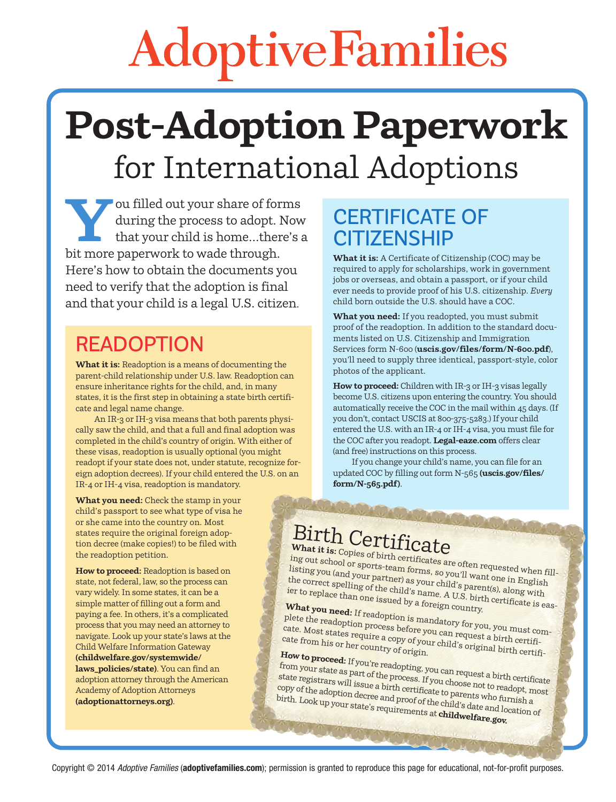# AdoptiveFamilies

## **Post-Adoption Paperwork**  for International Adoptions

**Y** ou filled out your share of forms<br>during the process to adopt. Now<br>that your child is home...there's<br>hit more paperwork to wade through during the process to adopt. Now that your child is home…there's a bit more paperwork to wade through. Here's how to obtain the documents you need to verify that the adoption is final and that your child is a legal U.S. citizen.

#### **READOPTION**

**What it is:** Readoption is a means of documenting the parent-child relationship under U.S. law. Readoption can ensure inheritance rights for the child, and, in many states, it is the first step in obtaining a state birth certificate and legal name change.

An IR-3 or IH-3 visa means that both parents physically saw the child, and that a full and final adoption was completed in the child's country of origin. With either of these visas, readoption is usually optional (you might readopt if your state does not, under statute, recognize foreign adoption decrees). If your child entered the U.S. on an IR-4 or IH-4 visa, readoption is mandatory.

#### **CERTIFICATE OF CITIZENSHIP**

**What it is:** A Certificate of Citizenship (COC) may be required to apply for scholarships, work in government jobs or overseas, and obtain a passport, or if your child ever needs to provide proof of his U.S. citizenship. *Every* child born outside the U.S. should have a COC.

**What you need:** If you readopted, you must submit proof of the readoption. In addition to the standard documents listed on U.S. Citizenship and Immigration Services form N-600 (**[uscis.gov/files/form/N-600.pdf](http://www.uscis.gov/files/form/N-600.pdf)**), you'll need to supply three identical, passport-style, color photos of the applicant.

**How to proceed:** Children with IR-3 or IH-3 visas legally become U.S. citizens upon entering the country. You should automatically receive the COC in the mail within 45 days. (If you don't, contact USCIS at 800-375-5283.) If your child entered the U.S. with an I[R-4 or IH-4 visa, yo](http://www.Legal-eaze.com)u must file for the COC after you readopt. **Legal-eaze.com** offers clear (and free) instructions on this process.

If you change your child's name, you can file for an [updated COC by fi](http://www.uscis.gov/files/form/N-565.pdf)lling out form N-565 **[\(uscis.gov/files/](http://www.uscis.gov/files/form/N-565.pdf) form/N-565.pdf)**.

**What you need:** Check the stamp in your child's passport to see what type of visa he or she came into the country on. Most states require the original foreign adoption decree (make copies!) to be filed with the readoption petition.

**How to proceed:** Readoption is based on state, not federal, law, so the process can vary widely. In some states, it can be a simple matter of filling out a form and paying a fee. In others, it's a complicated process that you may need an attorney to navigate. Look up your state's laws at the [Child Welfare Information Gatewa](http://www.childwelfare.gov/systemwide/laws_policies/state)y **[\(childwelfare.gov/sy](http://www.childwelfare.gov/systemwide/laws_policies/state)stemwide/ laws\_policies/state)**. You can find an adoption attorney through the American [Academy of Adoption Atto](http://www.adoptionattorneys.org)rneys **(adoptionattorneys.org)**.

### Birth Certificate

What it is: Copies of birth certificates are often requested when filling out school or sports-team forms, so you'll want one in English listing you (and your partner) as your child's parent(s), along with the correct spelling of the child's name. A U.S. birth certificate is easier to replace than one issued by a foreign country.

**What you need:** If readoption is mandatory for you, you must complete the readoption process before you can request a birth certificate from his or her country of original of soriginal birth certificate from his or her co plete the readoption process before you can request a birth certificate. Most states require a copy of your child's original birth certifi-cate from his or her country of origin.

**How to proceed:** If you're readopting, you can request a birth certificate from your state as part of the process. If you choose not to readopt, most state registrars will issue a birth certificate to parents who furnish a copy of the adoption decree and proof of t[he child's date and loc](http://www.childwelfare.gov)ation of birth. Look up your state's requirements at **childwelfare.gov.**